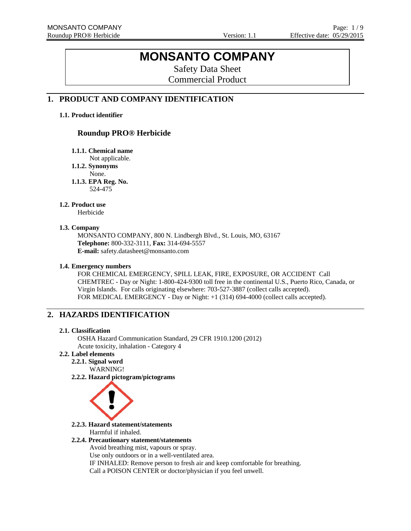# **MONSANTO COMPANY**

Safety Data Sheet Commercial Product

# **1. PRODUCT AND COMPANY IDENTIFICATION**

### **1.1. Product identifier**

# **Roundup PRO® Herbicide**

**1.1.1. Chemical name** 

Not applicable.

**1.1.2. Synonyms** 

None.

**1.1.3. EPA Reg. No.**  524-475

### **1.2. Product use**

Herbicide

### **1.3. Company**

MONSANTO COMPANY, 800 N. Lindbergh Blvd., St. Louis, MO, 63167 **Telephone:** 800-332-3111, **Fax:** 314-694-5557 **E-mail:** safety.datasheet@monsanto.com

### **1.4. Emergency numbers**

FOR CHEMICAL EMERGENCY, SPILL LEAK, FIRE, EXPOSURE, OR ACCIDENT Call CHEMTREC - Day or Night: 1-800-424-9300 toll free in the continental U.S., Puerto Rico, Canada, or Virgin Islands. For calls originating elsewhere: 703-527-3887 (collect calls accepted). FOR MEDICAL EMERGENCY - Day or Night: +1 (314) 694-4000 (collect calls accepted).

# **2. HAZARDS IDENTIFICATION**

### **2.1. Classification**

OSHA Hazard Communication Standard, 29 CFR 1910.1200 (2012) Acute toxicity, inhalation - Category 4

# **2.2. Label elements**

**2.2.1. Signal word** WARNING!

**2.2.2. Hazard pictogram/pictograms**



**2.2.3. Hazard statement/statements**  Harmful if inhaled.

### **2.2.4. Precautionary statement/statements**

Avoid breathing mist, vapours or spray.

Use only outdoors or in a well-ventilated area.

IF INHALED: Remove person to fresh air and keep comfortable for breathing.

Call a POISON CENTER or doctor/physician if you feel unwell.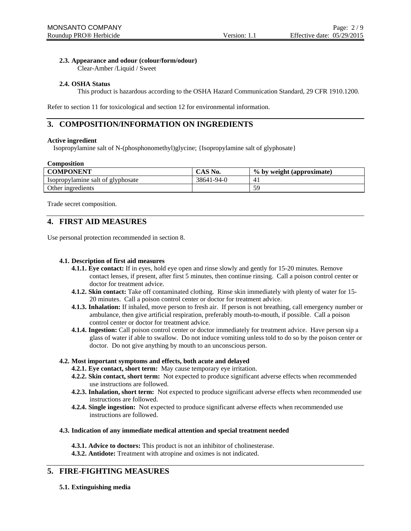### **2.3. Appearance and odour (colour/form/odour)**

Clear-Amber /Liquid / Sweet

### **2.4. OSHA Status**

This product is hazardous according to the OSHA Hazard Communication Standard, 29 CFR 1910.1200.

Refer to section 11 for toxicological and section 12 for environmental information.

# **3. COMPOSITION/INFORMATION ON INGREDIENTS**

### **Active ingredient**

Isopropylamine salt of N-(phosphonomethyl)glycine; {Isopropylamine salt of glyphosate}

### **Composition**

| <b>COMPONENT</b>                  | CAS No.    | % by weight (approximate) |
|-----------------------------------|------------|---------------------------|
| Isopropylamine salt of glyphosate | 38641-94-0 |                           |
| Other ingredients                 |            | 50                        |

Trade secret composition.

# **4. FIRST AID MEASURES**

Use personal protection recommended in section 8.

### **4.1. Description of first aid measures**

- **4.1.1. Eye contact:** If in eyes, hold eye open and rinse slowly and gently for 15-20 minutes. Remove contact lenses, if present, after first 5 minutes, then continue rinsing. Call a poison control center or doctor for treatment advice.
- **4.1.2. Skin contact:** Take off contaminated clothing. Rinse skin immediately with plenty of water for 15- 20 minutes. Call a poison control center or doctor for treatment advice.
- **4.1.3. Inhalation:** If inhaled, move person to fresh air. If person is not breathing, call emergency number or ambulance, then give artificial respiration, preferably mouth-to-mouth, if possible. Call a poison control center or doctor for treatment advice.
- **4.1.4. Ingestion:** Call poison control center or doctor immediately for treatment advice. Have person sip a glass of water if able to swallow. Do not induce vomiting unless told to do so by the poison center or doctor. Do not give anything by mouth to an unconscious person.

### **4.2. Most important symptoms and effects, both acute and delayed**

- **4.2.1. Eye contact, short term:** May cause temporary eye irritation.
- **4.2.2. Skin contact, short term:** Not expected to produce significant adverse effects when recommended use instructions are followed.
- **4.2.3. Inhalation, short term:** Not expected to produce significant adverse effects when recommended use instructions are followed.
- **4.2.4. Single ingestion:** Not expected to produce significant adverse effects when recommended use instructions are followed.

### **4.3. Indication of any immediate medical attention and special treatment needed**

**4.3.1. Advice to doctors:** This product is not an inhibitor of cholinesterase.

**4.3.2. Antidote:** Treatment with atropine and oximes is not indicated.

# **5. FIRE-FIGHTING MEASURES**

**5.1. Extinguishing media**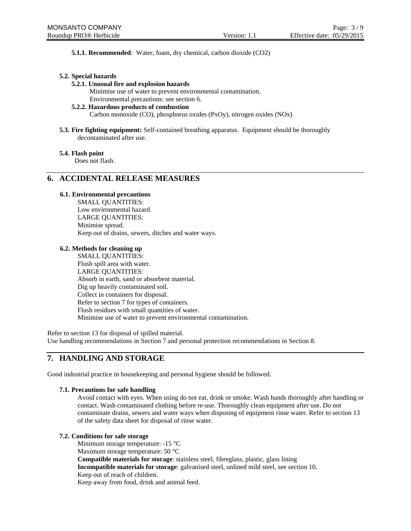**5.1.1. Recommended**: Water, foam, dry chemical, carbon dioxide (CO2)

### **5.2. Special hazards**

### **5.2.1. Unusual fire and explosion hazards**

Minimise use of water to prevent environmental contamination.

Environmental precautions: see section 6.

### **5.2.2. Hazardous products of combustion**

Carbon monoxide (CO), phosphorus oxides (PxOy), nitrogen oxides (NOx)

**5.3. Fire fighting equipment:** Self-contained breathing apparatus. Equipment should be thoroughly decontaminated after use.

### **5.4. Flash point**

Does not flash.

# **6. ACCIDENTAL RELEASE MEASURES**

### **6.1. Environmental precautions**

SMALL QUANTITIES: Low environmental hazard. LARGE QUANTITIES: Minimise spread. Keep out of drains, sewers, ditches and water ways.

### **6.2. Methods for cleaning up**

SMALL QUANTITIES: Flush spill area with water. LARGE QUANTITIES: Absorb in earth, sand or absorbent material. Dig up heavily contaminated soil. Collect in containers for disposal. Refer to section 7 for types of containers. Flush residues with small quantities of water. Minimise use of water to prevent environmental contamination.

Refer to section 13 for disposal of spilled material. Use handling recommendations in Section 7 and personal protection recommendations in Section 8.

# **7. HANDLING AND STORAGE**

Good industrial practice in housekeeping and personal hygiene should be followed.

### **7.1. Precautions for safe handling**

Avoid contact with eyes. When using do not eat, drink or smoke. Wash hands thoroughly after handling or contact. Wash contaminated clothing before re-use. Thoroughly clean equipment after use. Do not contaminate drains, sewers and water ways when disposing of equipment rinse water. Refer to section 13 of the safety data sheet for disposal of rinse water.

### **7.2. Conditions for safe storage**

 Minimum storage temperature: -15 °C Maximum storage temperature: 50 °C **Compatible materials for storage**: stainless steel, fibreglass, plastic, glass lining **Incompatible materials for storage**: galvanised steel, unlined mild steel, see section 10. Keep out of reach of children. Keep away from food, drink and animal feed.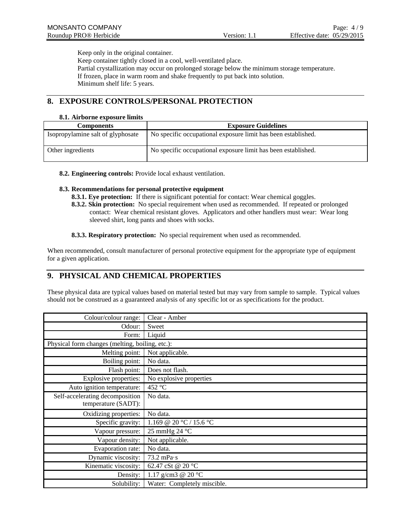Keep only in the original container. Keep container tightly closed in a cool, well-ventilated place. Partial crystallization may occur on prolonged storage below the minimum storage temperature. If frozen, place in warm room and shake frequently to put back into solution. Minimum shelf life: 5 years.

# **8. EXPOSURE CONTROLS/PERSONAL PROTECTION**

### **8.1. Airborne exposure limits**

| <b>Components</b>                 | <b>Exposure Guidelines</b>                                    |
|-----------------------------------|---------------------------------------------------------------|
| Isopropylamine salt of glyphosate | No specific occupational exposure limit has been established. |
| Other ingredients                 | No specific occupational exposure limit has been established. |

**8.2. Engineering controls:** Provide local exhaust ventilation.

### **8.3. Recommendations for personal protective equipment**

- **8.3.1. Eye protection:** If there is significant potential for contact: Wear chemical goggles.
- **8.3.2. Skin protection:** No special requirement when used as recommended. If repeated or prolonged contact: Wear chemical resistant gloves. Applicators and other handlers must wear: Wear long sleeved shirt, long pants and shoes with socks.
- **8.3.3. Respiratory protection:** No special requirement when used as recommended.

When recommended, consult manufacturer of personal protective equipment for the appropriate type of equipment for a given application.

# **9. PHYSICAL AND CHEMICAL PROPERTIES**

These physical data are typical values based on material tested but may vary from sample to sample. Typical values should not be construed as a guaranteed analysis of any specific lot or as specifications for the product.

| Colour/colour range:                            | Clear - Amber                |
|-------------------------------------------------|------------------------------|
| Odour:                                          | Sweet                        |
| Form:                                           | Liquid                       |
| Physical form changes (melting, boiling, etc.): |                              |
| Melting point:                                  | Not applicable.              |
| Boiling point:                                  | No data.                     |
| Flash point:                                    | Does not flash.              |
| Explosive properties:                           | No explosive properties      |
| Auto ignition temperature:                      | 452 °C                       |
| Self-accelerating decomposition                 | No data.                     |
| temperature (SADT):                             |                              |
| Oxidizing properties:                           | No data.                     |
| Specific gravity:                               | 1.169 @ 20 °C / 15.6 °C      |
| Vapour pressure:                                | 25 mmHg 24 °C                |
| Vapour density:                                 | Not applicable.              |
| Evaporation rate:                               | No data.                     |
| Dynamic viscosity:                              | $73.2$ mPa $\cdot$ s         |
| Kinematic viscosity:                            | 62.47 cSt @ 20 °C            |
| Density:                                        | 1.17 g/cm3 @ 20 $^{\circ}$ C |
| Solubility:                                     | Water: Completely miscible.  |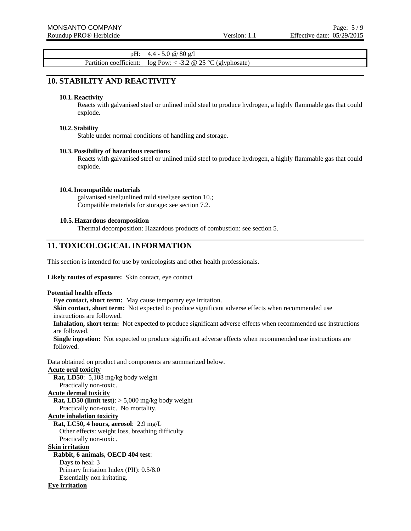pH: 4.4 - 5.0 @ 80 g/l Partition coefficient:  $\log Pow: < -3.2 \otimes 25 \degree C$  (glyphosate)

# **10. STABILITY AND REACTIVITY**

### **10.1. Reactivity**

Reacts with galvanised steel or unlined mild steel to produce hydrogen, a highly flammable gas that could explode.

### **10.2. Stability**

Stable under normal conditions of handling and storage.

### **10.3. Possibility of hazardous reactions**

Reacts with galvanised steel or unlined mild steel to produce hydrogen, a highly flammable gas that could explode.

### **10.4.Incompatible materials**

galvanised steel;unlined mild steel;see section 10.; Compatible materials for storage: see section 7.2.

### **10.5. Hazardous decomposition**

Thermal decomposition: Hazardous products of combustion: see section 5.

### **11. TOXICOLOGICAL INFORMATION**

This section is intended for use by toxicologists and other health professionals.

### **Likely routes of exposure:** Skin contact, eye contact

### **Potential health effects**

**Eye contact, short term:** May cause temporary eye irritation. **Skin contact, short term:** Not expected to produce significant adverse effects when recommended use instructions are followed. **Inhalation, short term:** Not expected to produce significant adverse effects when recommended use instructions are followed. **Single ingestion:** Not expected to produce significant adverse effects when recommended use instructions are followed.

Data obtained on product and components are summarized below.

# **Acute oral toxicity**

**Rat, LD50**: 5,108 mg/kg body weight

# Practically non-toxic.

# **Acute dermal toxicity**

**Rat, LD50 (limit test)**: > 5,000 mg/kg body weight

Practically non-toxic. No mortality.

### **Acute inhalation toxicity**

**Rat, LC50, 4 hours, aerosol**: 2.9 mg/L

Other effects: weight loss, breathing difficulty

Practically non-toxic.

### **Skin irritation**

### **Rabbit, 6 animals, OECD 404 test**:

Days to heal: 3 Primary Irritation Index (PII): 0.5/8.0 Essentially non irritating.

### **Eye irritation**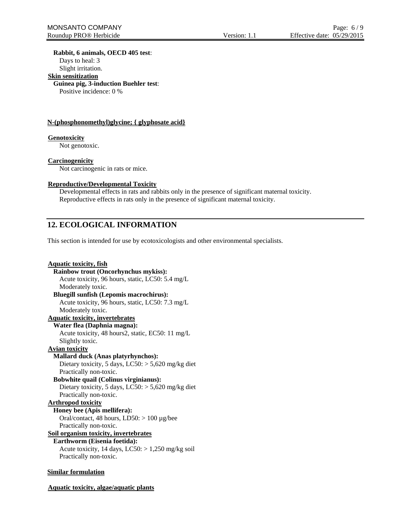**Rabbit, 6 animals, OECD 405 test**:

Days to heal: 3

Slight irritation.

# **Skin sensitization**

**Guinea pig, 3-induction Buehler test**:

Positive incidence: 0 %

### **N-(phosphonomethyl)glycine; { glyphosate acid}**

### **Genotoxicity**

Not genotoxic.

### **Carcinogenicity**

Not carcinogenic in rats or mice.

### **Reproductive/Developmental Toxicity**

Developmental effects in rats and rabbits only in the presence of significant maternal toxicity. Reproductive effects in rats only in the presence of significant maternal toxicity.

# **12. ECOLOGICAL INFORMATION**

This section is intended for use by ecotoxicologists and other environmental specialists.

```
Aquatic toxicity, fish
 Rainbow trout (Oncorhynchus mykiss):
    Acute toxicity, 96 hours, static, LC50: 5.4 mg/L 
    Moderately toxic. 
 Bluegill sunfish (Lepomis macrochirus):
    Acute toxicity, 96 hours, static, LC50: 7.3 mg/L 
    Moderately toxic. 
Aquatic toxicity, invertebrates
  Water flea (Daphnia magna):
    Acute toxicity, 48 hours2, static, EC50: 11 mg/L 
    Slightly toxic. 
Avian toxicity
 Mallard duck (Anas platyrhynchos):
    Dietary toxicity, 5 days, LC50: > 5,620 mg/kg diet
    Practically non-toxic. 
 Bobwhite quail (Colinus virginianus):
    Dietary toxicity, 5 days, LC50: > 5,620 mg/kg diet
    Practically non-toxic. 
Arthropod toxicity
 Honey bee (Apis mellifera):
    Oral/contact, 48 hours, LD50: > 100 µg/bee 
    Practically non-toxic. 
Soil organism toxicity, invertebrates
 Earthworm (Eisenia foetida):
    Acute toxicity, 14 days, LC50: > 1,250 mg/kg soil
    Practically non-toxic.
```
### **Similar formulation**

**Aquatic toxicity, algae/aquatic plants**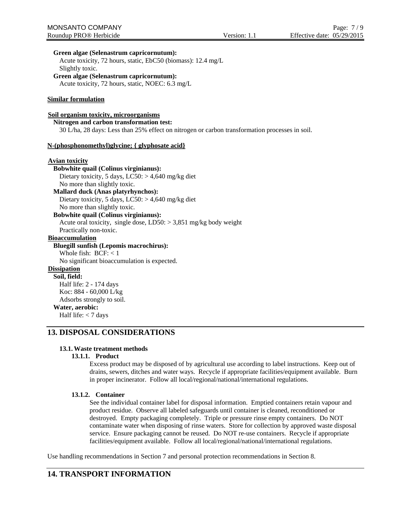### **Green algae (Selenastrum capricornutum):**

Acute toxicity, 72 hours, static, EbC50 (biomass): 12.4 mg/L Slightly toxic.

**Green algae (Selenastrum capricornutum):** Acute toxicity, 72 hours, static, NOEC: 6.3 mg/L

### **Similar formulation**

### **Soil organism toxicity, microorganisms**

### **Nitrogen and carbon transformation test:**

30 L/ha, 28 days: Less than 25% effect on nitrogen or carbon transformation processes in soil.

### **N-(phosphonomethyl)glycine; { glyphosate acid}**

### **Avian toxicity**

### **Bobwhite quail (Colinus virginianus):** Dietary toxicity, 5 days, LC50: > 4,640 mg/kg diet No more than slightly toxic.

**Mallard duck (Anas platyrhynchos):** Dietary toxicity, 5 days, LC50: > 4,640 mg/kg diet No more than slightly toxic.

### **Bobwhite quail (Colinus virginianus):**

Acute oral toxicity, single dose,  $LD50: > 3,851$  mg/kg body weight Practically non-toxic.

### **Bioaccumulation**

### **Bluegill sunfish (Lepomis macrochirus):**

Whole fish:  $BCF: < 1$ 

No significant bioaccumulation is expected.

### **Dissipation Soil, field:**

Half life: 2 - 174 days Koc: 884 - 60,000 L/kg Adsorbs strongly to soil. **Water, aerobic:** Half life: < 7 days

# **13. DISPOSAL CONSIDERATIONS**

### **13.1.Waste treatment methods**

### **13.1.1. Product**

Excess product may be disposed of by agricultural use according to label instructions. Keep out of drains, sewers, ditches and water ways. Recycle if appropriate facilities/equipment available. Burn in proper incinerator. Follow all local/regional/national/international regulations.

### **13.1.2. Container**

See the individual container label for disposal information. Emptied containers retain vapour and product residue. Observe all labeled safeguards until container is cleaned, reconditioned or destroyed. Empty packaging completely. Triple or pressure rinse empty containers. Do NOT contaminate water when disposing of rinse waters. Store for collection by approved waste disposal service. Ensure packaging cannot be reused. Do NOT re-use containers. Recycle if appropriate facilities/equipment available. Follow all local/regional/national/international regulations.

Use handling recommendations in Section 7 and personal protection recommendations in Section 8.

# **14. TRANSPORT INFORMATION**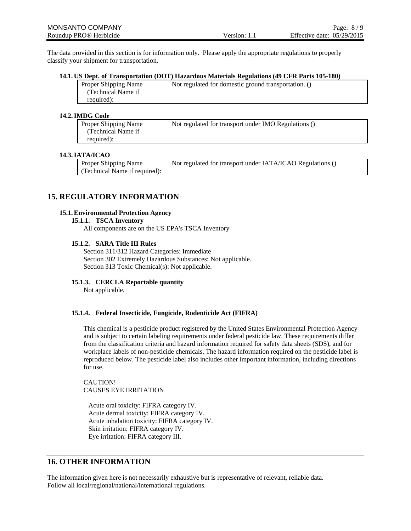The data provided in this section is for information only. Please apply the appropriate regulations to properly classify your shipment for transportation.

### **14.1. US Dept. of Transportation (DOT) Hazardous Materials Regulations (49 CFR Parts 105-180)**

| Proper Shipping Name | Not regulated for domestic ground transportation. () |
|----------------------|------------------------------------------------------|
| (Technical Name if   |                                                      |
| required):           |                                                      |

### **14.2.IMDG Code**

| Proper Shipping Name | Not regulated for transport under IMO Regulations () |
|----------------------|------------------------------------------------------|
| (Technical Name if)  |                                                      |
| required):           |                                                      |

### **14.3.IATA/ICAO**

# **15. REGULATORY INFORMATION**

### **15.1.Environmental Protection Agency**

### **15.1.1. TSCA Inventory**

All components are on the US EPA's TSCA Inventory

### **15.1.2. SARA Title III Rules**

Section 311/312 Hazard Categories: Immediate Section 302 Extremely Hazardous Substances: Not applicable. Section 313 Toxic Chemical(s): Not applicable.

### **15.1.3. CERCLA Reportable quantity**

Not applicable.

### **15.1.4. Federal Insecticide, Fungicide, Rodenticide Act (FIFRA)**

This chemical is a pesticide product registered by the United States Environmental Protection Agency and is subject to certain labeling requirements under federal pesticide law. These requirements differ from the classification criteria and hazard information required for safety data sheets (SDS), and for workplace labels of non-pesticide chemicals. The hazard information required on the pesticide label is reproduced below. The pesticide label also includes other important information, including directions for use.

CAUTION! CAUSES EYE IRRITATION

Acute oral toxicity: FIFRA category IV. Acute dermal toxicity: FIFRA category IV. Acute inhalation toxicity: FIFRA category IV. Skin irritation: FIFRA category IV. Eye irritation: FIFRA category III.

# **16. OTHER INFORMATION**

The information given here is not necessarily exhaustive but is representative of relevant, reliable data. Follow all local/regional/national/international regulations.